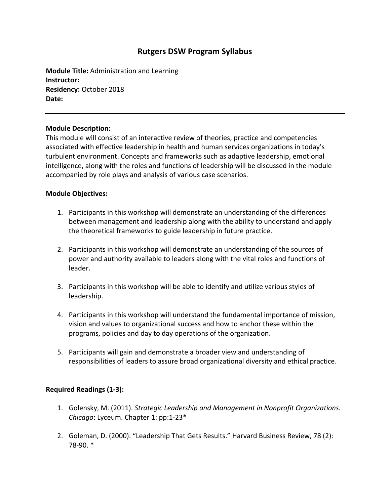# **Rutgers DSW Program Syllabus**

**Module Title:** Administration and Learning **Instructor: Residency:** October 2018 **Date:**

## **Module Description:**

This module will consist of an interactive review of theories, practice and competencies associated with effective leadership in health and human services organizations in today's turbulent environment. Concepts and frameworks such as adaptive leadership, emotional intelligence, along with the roles and functions of leadership will be discussed in the module accompanied by role plays and analysis of various case scenarios.

#### **Module Objectives:**

- 1. Participants in this workshop will demonstrate an understanding of the differences between management and leadership along with the ability to understand and apply the theoretical frameworks to guide leadership in future practice.
- 2. Participants in this workshop will demonstrate an understanding of the sources of power and authority available to leaders along with the vital roles and functions of leader.
- 3. Participants in this workshop will be able to identify and utilize various styles of leadership.
- 4. Participants in this workshop will understand the fundamental importance of mission, vision and values to organizational success and how to anchor these within the programs, policies and day to day operations of the organization.
- 5. Participants will gain and demonstrate a broader view and understanding of responsibilities of leaders to assure broad organizational diversity and ethical practice.

## **Required Readings (1-3):**

- 1. Golensky, M. (2011). *Strategic Leadership and Management in Nonprofit Organizations. Chicago*: Lyceum. Chapter 1: pp:1-23\*
- 2. Goleman, D. (2000). "Leadership That Gets Results." Harvard Business Review, 78 (2): 78-90. \*